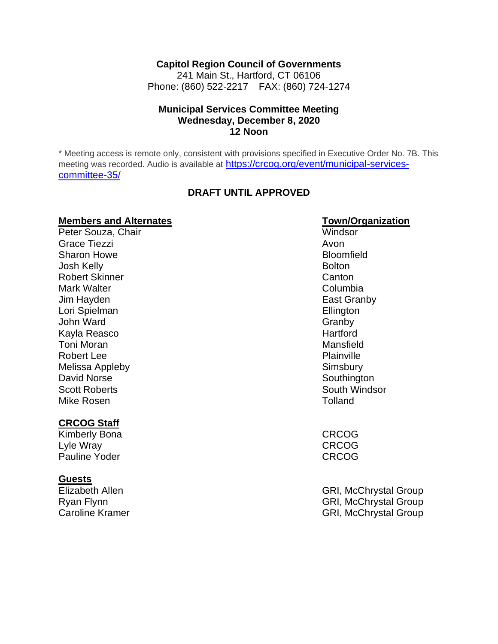#### **Capitol Region Council of Governments**

241 Main St., Hartford, CT 06106 Phone: (860) 522-2217 FAX: (860) 724-1274

#### **Municipal Services Committee Meeting Wednesday, December 8, 2020 12 Noon**

\* Meeting access is remote only, consistent with provisions specified in Executive Order No. 7B. This meeting was recorded. Audio is available at [https://crcog.org/event/municipal-services](https://crcog.org/event/municipal-services-committee-35/)[committee-35/](https://crcog.org/event/municipal-services-committee-35/)

#### **DRAFT UNTIL APPROVED**

# **Members and Alternates**<br> **Peter Souza, Chair**<br> **Peter Souza, Chair**

Peter Souza, Chair Grace Tiezzi and a structure of the structure of the structure of the structure of the structure of the structure of the structure of the structure of the structure of the structure of the structure of the structure of the Sharon Howe **Bloomfield** Josh Kelly **Bolton** Robert Skinner Canton Canton Canton Canton Canton Canton Canton Canton Canton Canton Canton Canton Canton Canton Canton Canton Canton Canton Canton Canton Canton Canton Canton Canton Canton Canton Canton Canton Canton Cant Mark Walter **Columbia Columbia Columbia Columbia** Jim Hayden **East Granby** Lori Spielman **Ellington** John Ward Granby Channels and Granby Channels and Granby Channels and Granby Channels and Granby Channels and Granby Channels and Granby Channels and Granby Channels and Granby Channels and Granby Channels and Granby Chann Kayla Reasco **Hartford** Toni Moran Mansfield Robert Lee **Plainville** Melissa Appleby **Simsbury** Simsbury David Norse **Southington** Scott Roberts **South Windsor** Mike Rosen **Tolland** 

#### **CRCOG Staff**

Kimberly Bona **CRCOG** Lyle Wray CRCOG Pauline Yoder **CRCOG** 

#### **Guests**

Elizabeth Allen GRI, McChrystal Group Ryan Flynn GRI, McChrystal Group Caroline Kramer GRI, McChrystal Group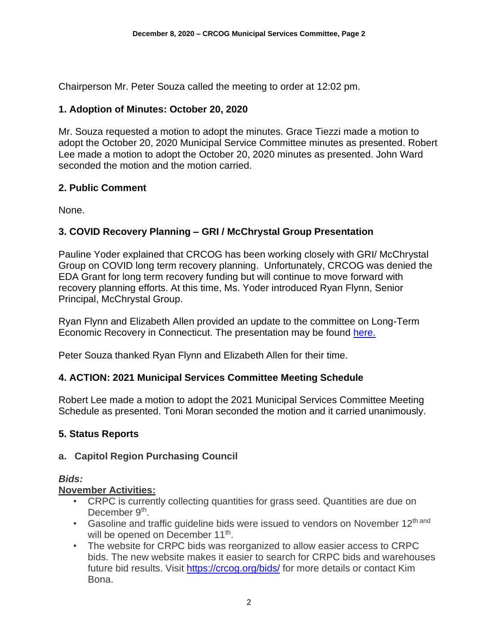Chairperson Mr. Peter Souza called the meeting to order at 12:02 pm.

#### **1. Adoption of Minutes: October 20, 2020**

Mr. Souza requested a motion to adopt the minutes. Grace Tiezzi made a motion to adopt the October 20, 2020 Municipal Service Committee minutes as presented. Robert Lee made a motion to adopt the October 20, 2020 minutes as presented. John Ward seconded the motion and the motion carried.

#### **2. Public Comment**

None.

# **3. COVID Recovery Planning – GRI / McChrystal Group Presentation**

Pauline Yoder explained that CRCOG has been working closely with GRI/ McChrystal Group on COVID long term recovery planning. Unfortunately, CRCOG was denied the EDA Grant for long term recovery funding but will continue to move forward with recovery planning efforts. At this time, Ms. Yoder introduced Ryan Flynn, Senior Principal, McChrystal Group.

Ryan Flynn and Elizabeth Allen provided an update to the committee on Long-Term Economic Recovery in Connecticut. The presentation may be found [here.](file:///C:/Users/Admin/Desktop/MG-GRI%20Update%20to%20Municipal%20Leaders_12.8.20.pdf)

Peter Souza thanked Ryan Flynn and Elizabeth Allen for their time.

#### **4. ACTION: 2021 Municipal Services Committee Meeting Schedule**

Robert Lee made a motion to adopt the 2021 Municipal Services Committee Meeting Schedule as presented. Toni Moran seconded the motion and it carried unanimously.

# **5. Status Reports**

#### **a. Capitol Region Purchasing Council**

*Bids:*

#### **November Activities:**

- CRPC is currently collecting quantities for grass seed. Quantities are due on December 9<sup>th</sup>.
- Gasoline and traffic guideline bids were issued to vendors on November  $12<sup>th</sup>$  and will be opened on December 11<sup>th</sup>.
- The website for CRPC bids was reorganized to allow easier access to CRPC bids. The new website makes it easier to search for CRPC bids and warehouses future bid results. Visit<https://crcog.org/bids/> for more details or contact Kim Bona.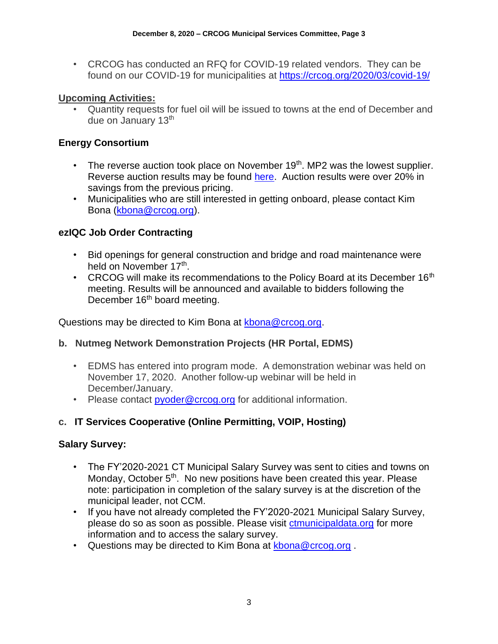• CRCOG has conducted an RFQ for COVID-19 related vendors. They can be found on our COVID-19 for municipalities at<https://crcog.org/2020/03/covid-19/>

#### **Upcoming Activities:**

• Quantity requests for fuel oil will be issued to towns at the end of December and due on January 13<sup>th</sup>

#### **Energy Consortium**

- The reverse auction took place on November  $19<sup>th</sup>$ . MP2 was the lowest supplier. Reverse auction results may be found [here.](file:///C:/Users/Admin/AppData/Local/Microsoft/Windows/INetCache/Content.Outlook/7XN6S38Z/2020-11-19%20CRCOG%20Reverse%20Auction%20Summary.pdf) Auction results were over 20% in savings from the previous pricing.
- Municipalities who are still interested in getting onboard, please contact Kim Bona [\(kbona@crcog.org\)](mailto:kbona@crcog.org).

#### **ezIQC Job Order Contracting**

- Bid openings for general construction and bridge and road maintenance were held on November 17<sup>th</sup>.
- CRCOG will make its recommendations to the Policy Board at its December  $16<sup>th</sup>$ meeting. Results will be announced and available to bidders following the December 16<sup>th</sup> board meeting.

Questions may be directed to Kim Bona at [kbona@crcog.org.](mailto:kbona@crcog.org)

#### **b. Nutmeg Network Demonstration Projects (HR Portal, EDMS)**

- EDMS has entered into program mode. A demonstration webinar was held on November 17, 2020. Another follow-up webinar will be held in December/January.
- Please contact [pyoder@crcog.org](mailto:pyoder@crcog.org) for additional information.

# **c. IT Services Cooperative (Online Permitting, VOIP, Hosting)**

#### **Salary Survey:**

- The FY'2020-2021 CT Municipal Salary Survey was sent to cities and towns on Monday, October  $5<sup>th</sup>$ . No new positions have been created this year. Please note: participation in completion of the salary survey is at the discretion of the municipal leader, not CCM.
- If you have not already completed the FY'2020-2021 Municipal Salary Survey, please do so as soon as possible. Please visit [ctmunicipaldata.org](https://ctmunicipaldata.org/) for more information and to access the salary survey.
- Questions may be directed to Kim Bona at [kbona@crcog.org](mailto:kbona@crcog.org) .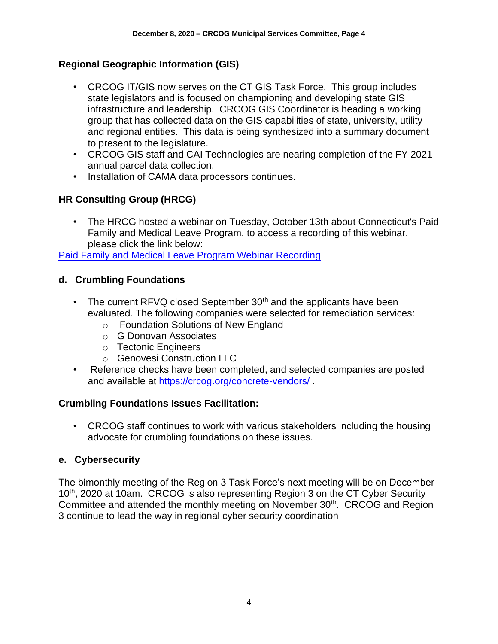# **Regional Geographic Information (GIS)**

- CRCOG IT/GIS now serves on the CT GIS Task Force. This group includes state legislators and is focused on championing and developing state GIS infrastructure and leadership. CRCOG GIS Coordinator is heading a working group that has collected data on the GIS capabilities of state, university, utility and regional entities. This data is being synthesized into a summary document to present to the legislature.
- CRCOG GIS staff and CAI Technologies are nearing completion of the FY 2021 annual parcel data collection.
- Installation of CAMA data processors continues.

# **HR Consulting Group (HRCG)**

• The HRCG hosted a webinar on Tuesday, October 13th about Connecticut's Paid Family and Medical Leave Program. to access a recording of this webinar, please click the link below:

[Paid Family and Medical Leave Program Webinar Recording](https://hs-7707654.t.hubspotstarter-ii.net/e2t/tc/VWjHmk1D8B4LW5R_mVg8sLHykW7MhRLh4hbDbwN2VVBBh3lGn5V1-WJV7CgBvWW4P_CXW1V_BhdW1VxwYQ2hqKYMW2F-ydS5MFYcwV_9ZvZ42yCHDVV2jQJ93yjrSW7mtMWK5nkpchW3DX8kz1_yTZwW1NhJJK9kvVXkW2Grn9L1CqB2PW80DZyP3L3BVRW5t3fpn397Hj9W20LNHL1GkvDxN3ssRp-QSjgYW8wXnFk6s3jfqW790FZV20JWGNW3M57DP3QXcTZW8F0GS31bjShXW5bYrGf3VKytdW6fSZD631syWrW4JVvHR2_Dk_hVGX5sH922xYgN2v2w8RGT-dNVNpDsP9d4xNVW8g3MVt79LCkV3q9h1)

#### **d. Crumbling Foundations**

- The current RFVQ closed September  $30<sup>th</sup>$  and the applicants have been evaluated. The following companies were selected for remediation services:
	- o Foundation Solutions of New England
	- o G Donovan Associates
	- o Tectonic Engineers
	- o Genovesi Construction LLC
- Reference checks have been completed, and selected companies are posted and available at<https://crcog.org/concrete-vendors/>.

# **Crumbling Foundations Issues Facilitation:**

• CRCOG staff continues to work with various stakeholders including the housing advocate for crumbling foundations on these issues.

# **e. Cybersecurity**

The bimonthly meeting of the Region 3 Task Force's next meeting will be on December 10<sup>th</sup>, 2020 at 10am. CRCOG is also representing Region 3 on the CT Cyber Security Committee and attended the monthly meeting on November 30<sup>th</sup>. CRCOG and Region 3 continue to lead the way in regional cyber security coordination